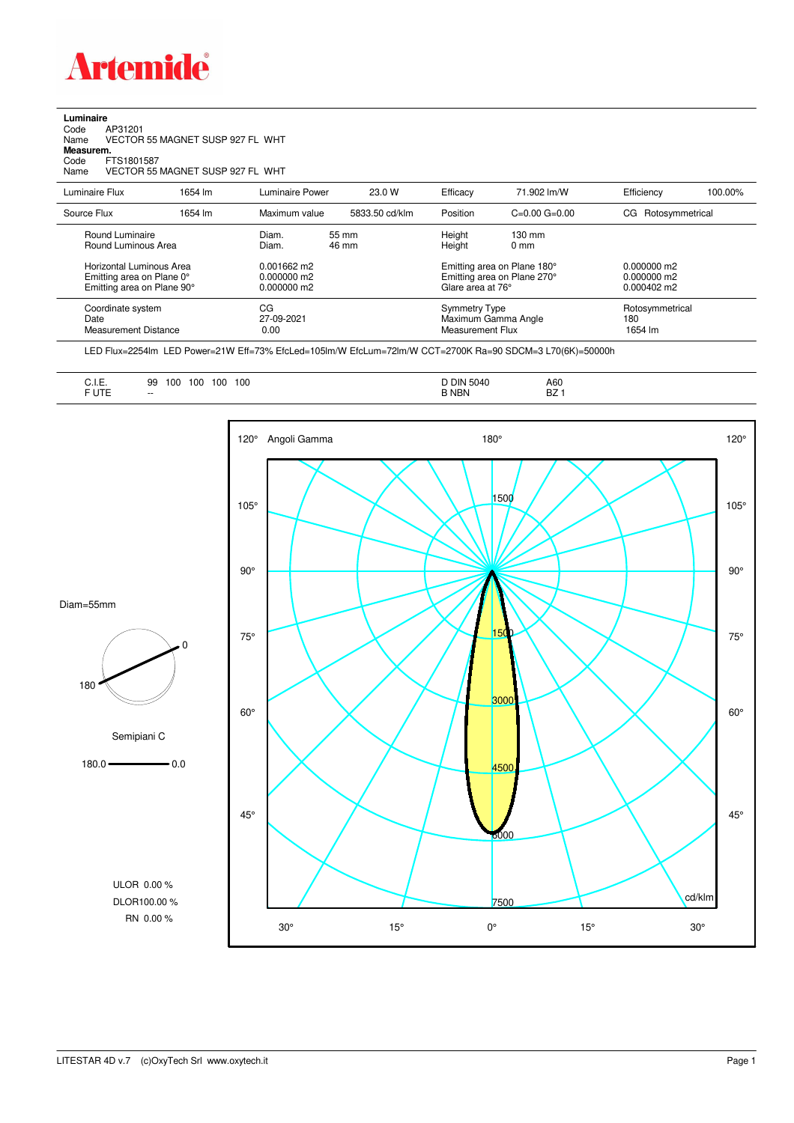

## **Luminaire**<br>Code<br>Name Code AP31201 Name VECTOR 55 MAGNET SUSP 927 FL WHT **Measurem.** Code FTS1801587<br>Name VECTOR 55 VECTOR 55 MAGNET SUSP 927 FL WHT

| Luminaire Flux                                                                      | 1654 lm | Luminaire Power                               | 23.0 W         | Efficacy                                                                        | 71.902 lm/W                                              | Efficiency                                             | 100.00% |
|-------------------------------------------------------------------------------------|---------|-----------------------------------------------|----------------|---------------------------------------------------------------------------------|----------------------------------------------------------|--------------------------------------------------------|---------|
| Source Flux                                                                         | 1654 lm | Maximum value                                 | 5833.50 cd/klm | Position                                                                        | $C=0.00$ $G=0.00$                                        | CG Rotosymmetrical                                     |         |
| Round Luminaire<br>Round Luminous Area                                              |         | Diam.<br>Diam.                                | 55 mm<br>46 mm | Height<br>Height                                                                | $130 \text{ mm}$<br>$0 \text{ mm}$                       |                                                        |         |
| Horizontal Luminous Area<br>Emitting area on Plane 0°<br>Emitting area on Plane 90° |         | $0.001662$ m2<br>0.000000 m2<br>$0.000000$ m2 |                | Emitting area on Plane 180°<br>Emitting area on Plane 270°<br>Glare area at 76° |                                                          | $0.000000$ m2<br>$0.000000$ m2<br>$0.000402 \text{ m}$ |         |
| Coordinate system<br>Date<br>Measurement Distance                                   |         | CG<br>27-09-2021<br>0.00                      |                |                                                                                 | Symmetry Type<br>Maximum Gamma Angle<br>Measurement Flux | Rotosymmetrical<br>180<br>1654 lm                      |         |

LED Flux=2254lm LED Power=21W Eff=73% EfcLed=105lm/W EfcLum=72lm/W CCT=2700K Ra=90 SDCM=3 L70(6K)=50000h